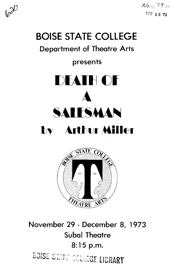

 $N_{ON}$  (1) **DFC 0673** 

# **BOISE STATE COLLEGE**

# **Department of Theatre Arts**

# presents





November 29 - December 8, 1973 **Subal Theatre** 8:15 p.m. BOISE STATE COLLEGE LIBRARY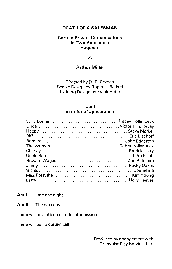# **DEATH OF A SALESMAN**

#### **Certain Private Conversations in Two Acts and a Requiem**

**by** 

# **Arthur Miller**

Directed by D. F. Corbett Scenic Design by Roger L. Bedard Lighting Design by Frank Heise

#### **Cast (in order of appearance)**

| Willy Loman Tracey Hollenbeck<br>Linda Victoria Holloway |  |
|----------------------------------------------------------|--|
|                                                          |  |
|                                                          |  |
| Bernard John Edgerton                                    |  |
| The Woman Debra Hollenbeck                               |  |
|                                                          |  |
|                                                          |  |
| Howard Wagner Dan Peterson                               |  |
|                                                          |  |
|                                                          |  |
|                                                          |  |
|                                                          |  |

**Act 1:** Late one night.

**Act** II: The next day.

There will be a fifteen minute intermission.

There will be no curtain call.

Produced by arrangement with Dramatist Play Service, Inc.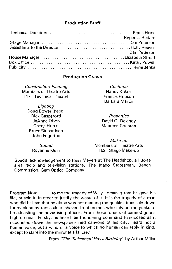#### **Production Staff**

| Roger L. Bedard |
|-----------------|
|                 |
|                 |
| Dan Peterson    |
|                 |
|                 |
|                 |
|                 |

#### **Production Crews**

| <b>Construction-Painting</b> | Costume               |
|------------------------------|-----------------------|
| Members of Theatre Arts      | Nancy Kokes           |
| 117: Technical Theatre       | <b>Francis Hopson</b> |
|                              | Barbara Martin        |
| Lighting                     |                       |
| Doug Bower (head)            |                       |

*Properties*  David G. Delaney Maureen Cochran

*Sound*  Royanne Klein

Rick Gasparotti JoAnne Olson Cheryl Hurrle Bruce Richardson John Edgerton

> *Make-up*  Members of Theatre Arts 162: Stage Make-up

Special acknowledgement to Russ Meyers at The Headshop, all Boise area radio and television stations, The Idaho Statesman, Bench Commission, Gem Optical Company.

Program Note: ". . . to me the tragedy of Willy Loman is that he gave his life, or sold it, in order to justify the waste of it. It is the tragedy of a man who did believe that he alone was not meeting the qualifications laid down for mankind by those clean-shaven frontiersmen who inhabit the peaks of broadcasting and advertising offices. From those forests of canned goods high up near the sky, he heard the thundering command to succeed as it ricocheted down the newspaper-lined canyons of his city, heard not a human voice, but a wind of a voice to which no human can reply in kind, except to stare into the mirror at a failure."

From *"The 'Salesman' Has a Birthday"* by Arthur Miller